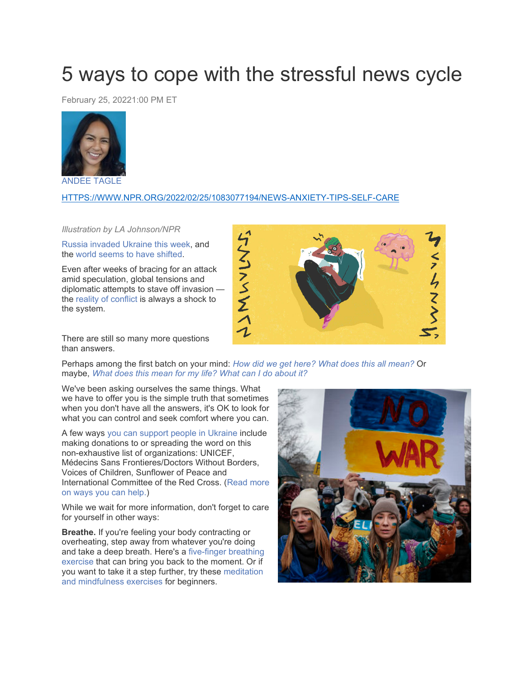## 5 ways to cope with the stressful news cycle

February 25, 20221:00 PM ET



[ANDEE](https://www.npr.org/people/776533008/andee-tagle) TAGLE

## [HTTPS://WWW.NPR.ORG/2022/02/25/1083077194/NEWS-ANXIETY-TIPS-SELF-CARE](https://www.npr.org/2022/02/25/1083077194/news-anxiety-tips-self-care)

## *Illustration by LA Johnson/NPR*

Russia [invaded](https://www.npr.org/2022/02/23/1082510234/russia-ukraine-updates) Ukraine this week, and the world seems to have [shifted.](https://www.npr.org/2022/02/24/1082749757/the-world-order-has-shifted-now-that-russia-has-invaded-ukraine)

Even after weeks of bracing for an attack amid speculation, global tensions and diplomatic attempts to stave off invasion the reality of [conflict](https://www.npr.org/sections/pictureshow/2022/02/24/1082795427/photos-show-the-calamity-as-russia-invades-ukraine) is always a shock to the system.



There are still so many more questions than answers.

Perhaps among the first batch on your mind: *How did we get [here?](https://www.npr.org/2022/02/12/1080205477/history-ukraine-russia) What does this all [mean?](https://www.npr.org/series/1082539802/russia-ukraine-invasion-explained)* Or maybe, *What does this [mean](https://www.npr.org/2022/02/16/1081185004/russia-ukraine-invasion-us-impact) for my life? What can I do [about](https://www.npr.org/2022/02/07/1078777224/as-an-international-march-draws-support-for-ukraine-what-else-can-the-u-s-do) it?*

We've been asking ourselves the same things. What we have to offer you is the simple truth that sometimes when you don't have all the answers, it's OK to look for what you can control and seek comfort where you can.

A few ways you can support people in [Ukraine](https://www.npr.org/2022/02/25/1082992947/ukraine-support-help) include making donations to or spreading the word on this non-exhaustive list of organizations: UNICEF, Médecins Sans Frontieres/Doctors Without Borders, Voices of Children, Sunflower of Peace and International Committee of the Red Cross. [\(Read](https://www.npr.org/2022/02/25/1082992947/ukraine-support-help) more on ways you can [help.\)](https://www.npr.org/2022/02/25/1082992947/ukraine-support-help)

While we wait for more information, don't forget to care for yourself in other ways:

**Breathe.** If you're feeling your body contracting or overheating, step away from whatever you're doing and take a deep breath. Here's a [five-finger](https://www.npr.org/2020/10/23/927134772/when-the-headlines-wont-stop-here-s-how-to-cope-with-anxiety) breathing [exercise](https://www.npr.org/2020/10/23/927134772/when-the-headlines-wont-stop-here-s-how-to-cope-with-anxiety) that can bring you back to the moment. Or if you want to take it a step further, try these [meditation](https://www.npr.org/2020/10/19/925344796/look-inward-to-make-external-change-advice-from-a-meditation-teacher) and [mindfulness](https://www.npr.org/2020/10/19/925344796/look-inward-to-make-external-change-advice-from-a-meditation-teacher) exercises for beginners.